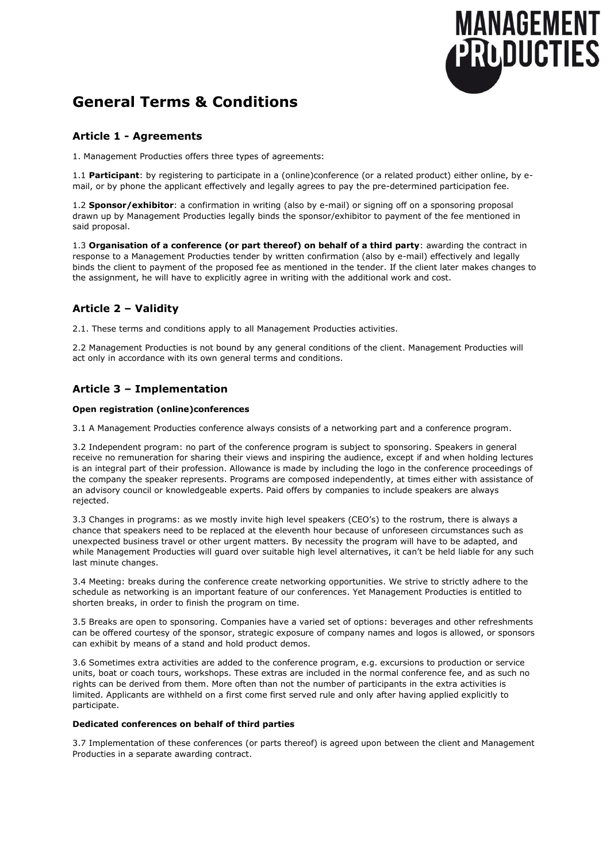

# **General Terms & Conditions**

### **Article 1 - Agreements**

1. Management Producties offers three types of agreements:

1.1 **Participant**: by registering to participate in a (online)conference (or a related product) either online, by email, or by phone the applicant effectively and legally agrees to pay the pre-determined participation fee.

1.2 **Sponsor/exhibitor**: a confirmation in writing (also by e-mail) or signing off on a sponsoring proposal drawn up by Management Producties legally binds the sponsor/exhibitor to payment of the fee mentioned in said proposal.

1.3 **Organisation of a conference (or part thereof) on behalf of a third party**: awarding the contract in response to a Management Producties tender by written confirmation (also by e-mail) effectively and legally binds the client to payment of the proposed fee as mentioned in the tender. If the client later makes changes to the assignment, he will have to explicitly agree in writing with the additional work and cost.

# **Article 2 – Validity**

2.1. These terms and conditions apply to all Management Producties activities.

2.2 Management Producties is not bound by any general conditions of the client. Management Producties will act only in accordance with its own general terms and conditions.

# **Article 3 – Implementation**

### **Open registration (online)conferences**

3.1 A Management Producties conference always consists of a networking part and a conference program.

3.2 Independent program: no part of the conference program is subject to sponsoring. Speakers in general receive no remuneration for sharing their views and inspiring the audience, except if and when holding lectures is an integral part of their profession. Allowance is made by including the logo in the conference proceedings of the company the speaker represents. Programs are composed independently, at times either with assistance of an advisory council or knowledgeable experts. Paid offers by companies to include speakers are always rejected.

3.3 Changes in programs: as we mostly invite high level speakers (CEO's) to the rostrum, there is always a chance that speakers need to be replaced at the eleventh hour because of unforeseen circumstances such as unexpected business travel or other urgent matters. By necessity the program will have to be adapted, and while Management Producties will guard over suitable high level alternatives, it can't be held liable for any such last minute changes.

3.4 Meeting: breaks during the conference create networking opportunities. We strive to strictly adhere to the schedule as networking is an important feature of our conferences. Yet Management Producties is entitled to shorten breaks, in order to finish the program on time.

3.5 Breaks are open to sponsoring. Companies have a varied set of options: beverages and other refreshments can be offered courtesy of the sponsor, strategic exposure of company names and logos is allowed, or sponsors can exhibit by means of a stand and hold product demos.

3.6 Sometimes extra activities are added to the conference program, e.g. excursions to production or service units, boat or coach tours, workshops. These extras are included in the normal conference fee, and as such no rights can be derived from them. More often than not the number of participants in the extra activities is limited. Applicants are withheld on a first come first served rule and only after having applied explicitly to participate.

### **Dedicated conferences on behalf of third parties**

3.7 Implementation of these conferences (or parts thereof) is agreed upon between the client and Management Producties in a separate awarding contract.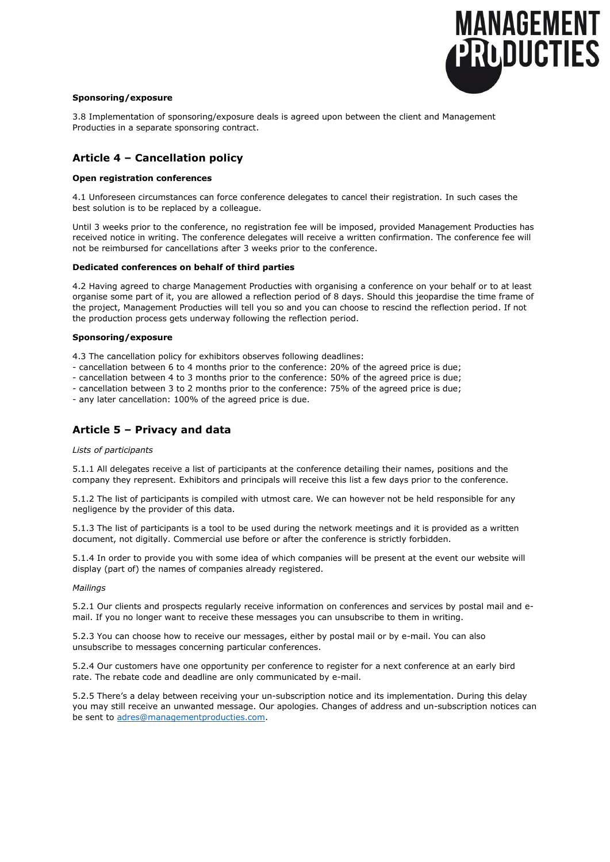

#### **Sponsoring/exposure**

3.8 Implementation of sponsoring/exposure deals is agreed upon between the client and Management Producties in a separate sponsoring contract.

### **Article 4 – Cancellation policy**

#### **Open registration conferences**

4.1 Unforeseen circumstances can force conference delegates to cancel their registration. In such cases the best solution is to be replaced by a colleague.

Until 3 weeks prior to the conference, no registration fee will be imposed, provided Management Producties has received notice in writing. The conference delegates will receive a written confirmation. The conference fee will not be reimbursed for cancellations after 3 weeks prior to the conference.

#### **Dedicated conferences on behalf of third parties**

4.2 Having agreed to charge Management Producties with organising a conference on your behalf or to at least organise some part of it, you are allowed a reflection period of 8 days. Should this jeopardise the time frame of the project, Management Producties will tell you so and you can choose to rescind the reflection period. If not the production process gets underway following the reflection period.

#### **Sponsoring/exposure**

4.3 The cancellation policy for exhibitors observes following deadlines:

- cancellation between 6 to 4 months prior to the conference: 20% of the agreed price is due;
- cancellation between 4 to 3 months prior to the conference: 50% of the agreed price is due;
- cancellation between 3 to 2 months prior to the conference: 75% of the agreed price is due;

- any later cancellation: 100% of the agreed price is due.

### **Article 5 – Privacy and data**

#### *Lists of participants*

5.1.1 All delegates receive a list of participants at the conference detailing their names, positions and the company they represent. Exhibitors and principals will receive this list a few days prior to the conference.

5.1.2 The list of participants is compiled with utmost care. We can however not be held responsible for any negligence by the provider of this data.

5.1.3 The list of participants is a tool to be used during the network meetings and it is provided as a written document, not digitally. Commercial use before or after the conference is strictly forbidden.

5.1.4 In order to provide you with some idea of which companies will be present at the event our website will display (part of) the names of companies already registered.

#### *Mailings*

5.2.1 Our clients and prospects regularly receive information on conferences and services by postal mail and email. If you no longer want to receive these messages you can unsubscribe to them in writing.

5.2.3 You can choose how to receive our messages, either by postal mail or by e-mail. You can also unsubscribe to messages concerning particular conferences.

5.2.4 Our customers have one opportunity per conference to register for a next conference at an early bird rate. The rebate code and deadline are only communicated by e-mail.

5.2.5 There's a delay between receiving your un-subscription notice and its implementation. During this delay you may still receive an unwanted message. Our apologies. Changes of address and un-subscription notices can be sent to [adres@managementproducties.com.](mailto:adres@managementproducties.com)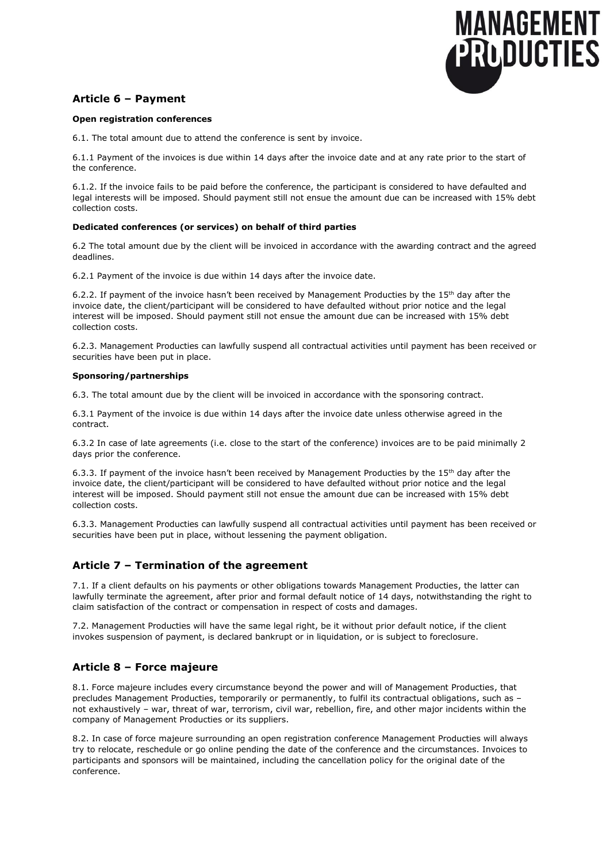

## **Article 6 – Payment**

#### **Open registration conferences**

6.1. The total amount due to attend the conference is sent by invoice.

6.1.1 Payment of the invoices is due within 14 days after the invoice date and at any rate prior to the start of the conference.

6.1.2. If the invoice fails to be paid before the conference, the participant is considered to have defaulted and legal interests will be imposed. Should payment still not ensue the amount due can be increased with 15% debt collection costs.

#### **Dedicated conferences (or services) on behalf of third parties**

6.2 The total amount due by the client will be invoiced in accordance with the awarding contract and the agreed deadlines.

6.2.1 Payment of the invoice is due within 14 days after the invoice date.

6.2.2. If payment of the invoice hasn't been received by Management Producties by the 15<sup>th</sup> day after the invoice date, the client/participant will be considered to have defaulted without prior notice and the legal interest will be imposed. Should payment still not ensue the amount due can be increased with 15% debt collection costs.

6.2.3. Management Producties can lawfully suspend all contractual activities until payment has been received or securities have been put in place.

#### **Sponsoring/partnerships**

6.3. The total amount due by the client will be invoiced in accordance with the sponsoring contract.

6.3.1 Payment of the invoice is due within 14 days after the invoice date unless otherwise agreed in the contract.

6.3.2 In case of late agreements (i.e. close to the start of the conference) invoices are to be paid minimally 2 days prior the conference.

6.3.3. If payment of the invoice hasn't been received by Management Producties by the 15<sup>th</sup> day after the invoice date, the client/participant will be considered to have defaulted without prior notice and the legal interest will be imposed. Should payment still not ensue the amount due can be increased with 15% debt collection costs.

6.3.3. Management Producties can lawfully suspend all contractual activities until payment has been received or securities have been put in place, without lessening the payment obligation.

### **Article 7 – Termination of the agreement**

7.1. If a client defaults on his payments or other obligations towards Management Producties, the latter can lawfully terminate the agreement, after prior and formal default notice of 14 days, notwithstanding the right to claim satisfaction of the contract or compensation in respect of costs and damages.

7.2. Management Producties will have the same legal right, be it without prior default notice, if the client invokes suspension of payment, is declared bankrupt or in liquidation, or is subject to foreclosure.

## **Article 8 – Force majeure**

8.1. Force majeure includes every circumstance beyond the power and will of Management Producties, that precludes Management Producties, temporarily or permanently, to fulfil its contractual obligations, such as – not exhaustively – war, threat of war, terrorism, civil war, rebellion, fire, and other major incidents within the company of Management Producties or its suppliers.

8.2. In case of force majeure surrounding an open registration conference Management Producties will always try to relocate, reschedule or go online pending the date of the conference and the circumstances. Invoices to participants and sponsors will be maintained, including the cancellation policy for the original date of the conference.